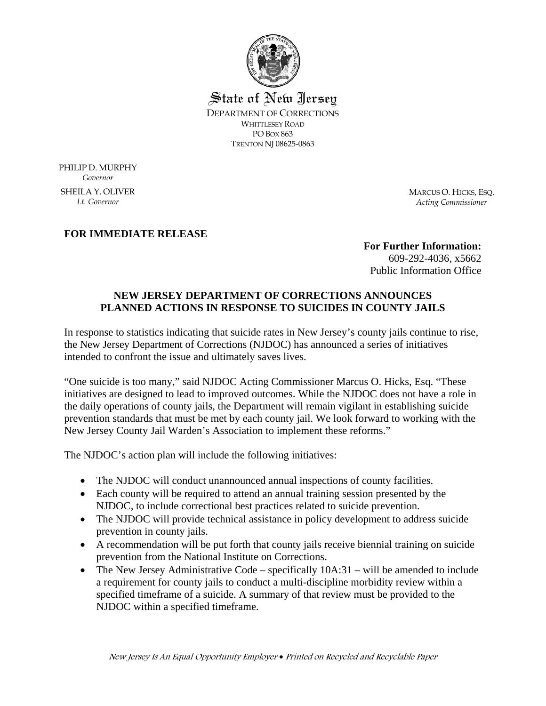

State of New Jersey DEPARTMENT OF CORRECTIONS WHITTLESEY ROAD PO BOX 863 TRENTON NJ 08625-0863

PHILIP D. MURPHY *Governor*  SHEILA Y. OLIVER *Lt. Governor* 

MARCUS O. HICKS, ESQ. *Acting Commissioner*

## **FOR IMMEDIATE RELEASE**

**For Further Information:**  609-292-4036, x5662 Public Information Office

## **NEW JERSEY DEPARTMENT OF CORRECTIONS ANNOUNCES PLANNED ACTIONS IN RESPONSE TO SUICIDES IN COUNTY JAILS**

In response to statistics indicating that suicide rates in New Jersey's county jails continue to rise, the New Jersey Department of Corrections (NJDOC) has announced a series of initiatives intended to confront the issue and ultimately saves lives.

"One suicide is too many," said NJDOC Acting Commissioner Marcus O. Hicks, Esq. "These initiatives are designed to lead to improved outcomes. While the NJDOC does not have a role in the daily operations of county jails, the Department will remain vigilant in establishing suicide prevention standards that must be met by each county jail. We look forward to working with the New Jersey County Jail Warden's Association to implement these reforms."

The NJDOC's action plan will include the following initiatives:

- The NJDOC will conduct unannounced annual inspections of county facilities.
- Each county will be required to attend an annual training session presented by the NJDOC, to include correctional best practices related to suicide prevention.
- The NJDOC will provide technical assistance in policy development to address suicide prevention in county jails.
- A recommendation will be put forth that county jails receive biennial training on suicide prevention from the National Institute on Corrections.
- The New Jersey Administrative Code specifically  $10A:31$  will be amended to include a requirement for county jails to conduct a multi-discipline morbidity review within a specified timeframe of a suicide. A summary of that review must be provided to the NJDOC within a specified timeframe.